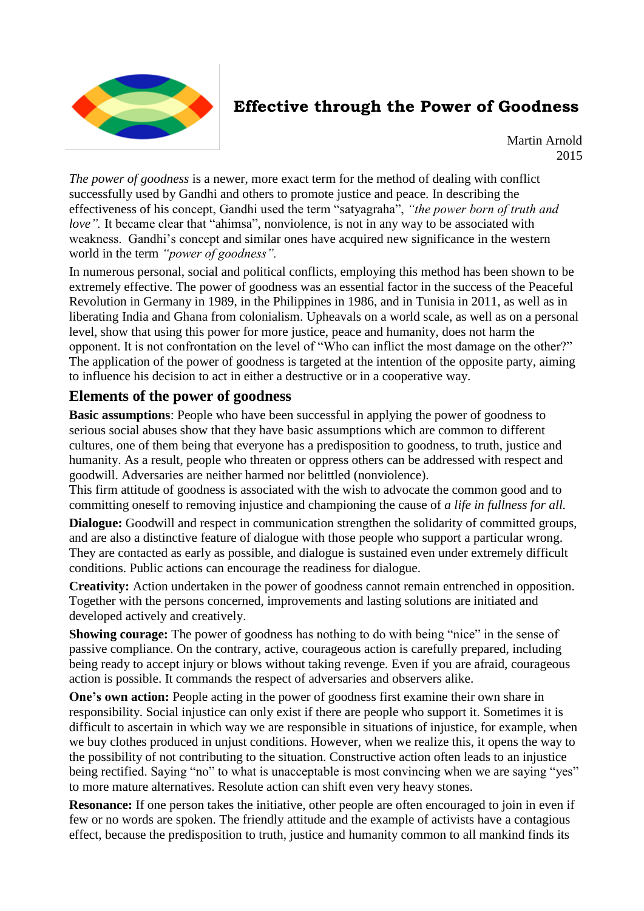

## **Effective through the Power of Goodness**

Martin Arnold 2015

*The power of goodness* is a newer, more exact term for the method of dealing with conflict successfully used by Gandhi and others to promote justice and peace. In describing the effectiveness of his concept, Gandhi used the term "satyagraha", *"the power born of truth and love*". It became clear that "ahimsa", nonviolence, is not in any way to be associated with weakness. Gandhi's concept and similar ones have acquired new significance in the western world in the term *"power of goodness".*

In numerous personal, social and political conflicts, employing this method has been shown to be extremely effective. The power of goodness was an essential factor in the success of the Peaceful Revolution in Germany in 1989, in the Philippines in 1986, and in Tunisia in 2011, as well as in liberating India and Ghana from colonialism. Upheavals on a world scale, as well as on a personal level, show that using this power for more justice, peace and humanity, does not harm the opponent. It is not confrontation on the level of "Who can inflict the most damage on the other?" The application of the power of goodness is targeted at the intention of the opposite party, aiming to influence his decision to act in either a destructive or in a cooperative way.

## **Elements of the power of goodness**

**Basic assumptions**: People who have been successful in applying the power of goodness to serious social abuses show that they have basic assumptions which are common to different cultures, one of them being that everyone has a predisposition to goodness, to truth, justice and humanity. As a result, people who threaten or oppress others can be addressed with respect and goodwill. Adversaries are neither harmed nor belittled (nonviolence).

This firm attitude of goodness is associated with the wish to advocate the common good and to committing oneself to removing injustice and championing the cause of *a life in fullness for all.*

**Dialogue:** Goodwill and respect in communication strengthen the solidarity of committed groups, and are also a distinctive feature of dialogue with those people who support a particular wrong. They are contacted as early as possible, and dialogue is sustained even under extremely difficult conditions. Public actions can encourage the readiness for dialogue.

**Creativity:** Action undertaken in the power of goodness cannot remain entrenched in opposition. Together with the persons concerned, improvements and lasting solutions are initiated and developed actively and creatively.

**Showing courage:** The power of goodness has nothing to do with being "nice" in the sense of passive compliance. On the contrary, active, courageous action is carefully prepared, including being ready to accept injury or blows without taking revenge. Even if you are afraid, courageous action is possible. It commands the respect of adversaries and observers alike.

**One's own action:** People acting in the power of goodness first examine their own share in responsibility. Social injustice can only exist if there are people who support it. Sometimes it is difficult to ascertain in which way we are responsible in situations of injustice, for example, when we buy clothes produced in unjust conditions. However, when we realize this, it opens the way to the possibility of not contributing to the situation. Constructive action often leads to an injustice being rectified. Saying "no" to what is unacceptable is most convincing when we are saying "yes" to more mature alternatives. Resolute action can shift even very heavy stones.

**Resonance:** If one person takes the initiative, other people are often encouraged to join in even if few or no words are spoken. The friendly attitude and the example of activists have a contagious effect, because the predisposition to truth, justice and humanity common to all mankind finds its